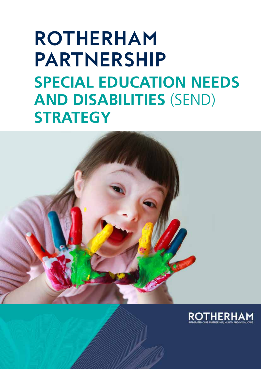# **Rotherham Partnership Special Education Needs and Disabilities** (SEND) **Strategy**



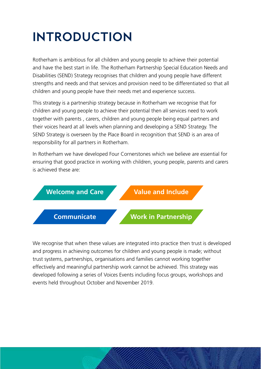### **Introduction**

Rotherham is ambitious for all children and young people to achieve their potential and have the best start in life. The Rotherham Partnership Special Education Needs and Disabilities (SEND) Strategy recognises that children and young people have different strengths and needs and that services and provision need to be differentiated so that all children and young people have their needs met and experience success.

This strategy is a partnership strategy because in Rotherham we recognise that for children and young people to achieve their potential then all services need to work together with parents , carers, children and young people being equal partners and their voices heard at all levels when planning and developing a SEND Strategy. The SEND Strategy is overseen by the Place Board in recognition that SEND is an area of responsibility for all partners in Rotherham.

In Rotherham we have developed Four Cornerstones which we believe are essential for ensuring that good practice in working with children, young people, parents and carers is achieved these are:



We recognise that when these values are integrated into practice then trust is developed and progress in achieving outcomes for children and young people is made; without trust systems, partnerships, organisations and families cannot working together effectively and meaningful partnership work cannot be achieved. This strategy was developed following a series of Voices Events including focus groups, workshops and events held throughout October and November 2019.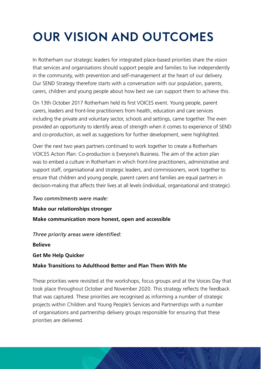## **Our Vision and Outcomes**

In Rotherham our strategic leaders for integrated place-based priorities share the vision that services and organisations should support people and families to live independently in the community, with prevention and self-management at the heart of our delivery. Our SEND Strategy therefore starts with a conversation with our population, parents, carers, children and young people about how best we can support them to achieve this.

On 13th October 2017 Rotherham held its first VOICES event. Young people, parent carers, leaders and front-line practitioners from health, education and care services including the private and voluntary sector, schools and settings, came together. The even provided an opportunity to identify areas of strength when it comes to experience of SEND and co-production, as well as suggestions for further development, were highlighted.

Over the next two years partners continued to work together to create a Rotherham VOICES Action Plan: Co-production is Everyone's Business. The aim of the action plan was to embed a culture in Rotherham in which front-line practitioners, administrative and support staff, organisational and strategic leaders, and commissioners, work together to ensure that children and young people, parent carers and families are equal partners in decision-making that affects their lives at all levels (individual, organisational and strategic).

#### *Two commitments were made:*

#### **Make our relationships stronger**

**Make communication more honest, open and accessible**

*Three priority areas were identified:*

**Believe** 

**Get Me Help Quicker**

#### **Make Transitions to Adulthood Better and Plan Them With Me**

These priorities were revisited at the workshops, focus groups and at the Voices Day that took place throughout October and November 2020. This strategy reflects the feedback that was captured. These priorities are recognised as informing a number of strategic projects within Children and Young People's Services and Partnerships with a number of organisations and partnership delivery groups responsible for ensuring that these priorities are delivered.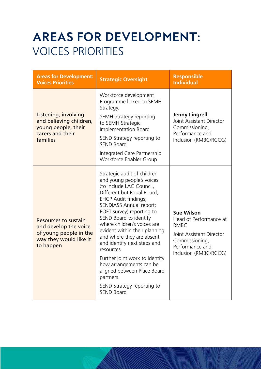### **Areas for Development:**  VOICES PRIORITIES

| <b>Areas for Development:</b><br><b>Voices Priorities</b>                                                      | <b>Strategic Oversight</b>                                                                                                                                                                                                                                                                                                                                                                                                                                                                                                                | <b>Responsible</b><br><b>Individual</b>                                                                                                              |
|----------------------------------------------------------------------------------------------------------------|-------------------------------------------------------------------------------------------------------------------------------------------------------------------------------------------------------------------------------------------------------------------------------------------------------------------------------------------------------------------------------------------------------------------------------------------------------------------------------------------------------------------------------------------|------------------------------------------------------------------------------------------------------------------------------------------------------|
| Listening, involving<br>and believing children,<br>young people, their<br>carers and their<br>families         | Workforce development<br>Programme linked to SEMH<br>Strategy.<br>SEMH Strategy reporting<br>to SEMH Strategic<br>Implementation Board<br>SEND Strategy reporting to<br><b>SEND Board</b><br>Integrated Care Partnership<br>Workforce Enabler Group                                                                                                                                                                                                                                                                                       | <b>Jenny Lingrell</b><br>Joint Assistant Director<br>Commissioning,<br>Performance and<br>Inclusion (RMBC/RCCG)                                      |
| Resources to sustain<br>and develop the voice<br>of young people in the<br>way they would like it<br>to happen | Strategic audit of children<br>and young people's voices<br>(to include LAC Council,<br>Different but Equal Board;<br><b>EHCP Audit findings;</b><br>SENDIASS Annual report;<br>POET survey) reporting to<br>SEND Board to identify<br>where children's voices are<br>evident within their planning<br>and where they are absent<br>and identify next steps and<br>resources.<br>Further joint work to identify<br>how arrangements can be<br>aligned between Place Board<br>partners.<br>SEND Strategy reporting to<br><b>SEND Board</b> | <b>Sue Wilson</b><br>Head of Performance at<br><b>RMBC</b><br>Joint Assistant Director<br>Commissioning,<br>Performance and<br>Inclusion (RMBC/RCCG) |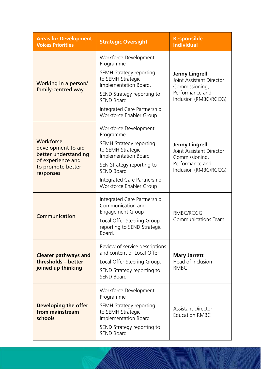| <b>Areas for Development:</b><br><b>Voices Priorities</b>                                                      | <b>Strategic Oversight</b>                                                                                                                                                                                               | <b>Responsible</b><br><b>Individual</b>                                                                         |
|----------------------------------------------------------------------------------------------------------------|--------------------------------------------------------------------------------------------------------------------------------------------------------------------------------------------------------------------------|-----------------------------------------------------------------------------------------------------------------|
| Working in a person/<br>family-centred way                                                                     | Workforce Development<br>Programme<br>SEMH Strategy reporting<br>to SEMH Strategic<br>Implementation Board.<br>SEND Strategy reporting to<br><b>SEND Board</b><br>Integrated Care Partnership<br>Workforce Enabler Group | <b>Jenny Lingrell</b><br>Joint Assistant Director<br>Commissioning,<br>Performance and<br>Inclusion (RMBC/RCCG) |
| Workforce<br>development to aid<br>better understanding<br>of experience and<br>to promote better<br>responses | Workforce Development<br>Programme<br>SEMH Strategy reporting<br>to SEMH Strategic<br>Implementation Board<br>SEN Strategy reporting to<br><b>SEND Board</b><br>Integrated Care Partnership<br>Workforce Enabler Group   | <b>Jenny Lingrell</b><br>Joint Assistant Director<br>Commissioning,<br>Performance and<br>Inclusion (RMBC/RCCG) |
| Communication                                                                                                  | Integrated Care Partnership<br>Communication and<br><b>Engagement Group</b><br>Local Offer Steering Group<br>reporting to SEND Strategic<br>Board.                                                                       | RMBC/RCCG<br>Communications Team.                                                                               |
| <b>Clearer pathways and</b><br>thresholds - better<br>joined up thinking                                       | Review of service descriptions<br>and content of Local Offer<br>Local Offer Steering Group.<br>SEND Strategy reporting to<br><b>SEND Board</b>                                                                           | <b>Mary Jarrett</b><br>Head of Inclusion<br>RMBC.                                                               |
| Developing the offer<br>from mainstream<br>schools                                                             | Workforce Development<br>Programme<br>SEMH Strategy reporting<br>to SEMH Strategic<br>Implementation Board<br>SEND Strategy reporting to<br><b>SEND Board</b>                                                            | <b>Assistant Director</b><br><b>Education RMBC</b>                                                              |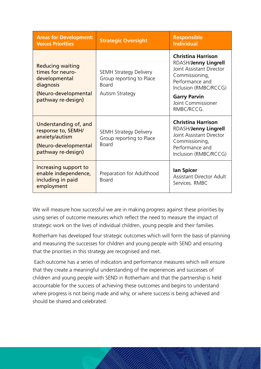| <b>Areas for Development:</b><br><b>Voices Priorities</b>                                                   | <b>Strategic Oversight</b>                                                | <b>Responsible</b><br><b>Individual</b>                                                                                                            |
|-------------------------------------------------------------------------------------------------------------|---------------------------------------------------------------------------|----------------------------------------------------------------------------------------------------------------------------------------------------|
| <b>Reducing waiting</b><br>times for neuro-<br>developmental<br>diagnosis                                   | <b>SEMH Strategy Delivery</b><br>Group reporting to Place<br><b>Board</b> | <b>Christina Harrison</b><br>RDASH/Jenny Lingrell<br><b>Joint Assistant Director</b><br>Commissioning,<br>Performance and<br>Inclusion (RMBC/RCCG) |
| (Neuro-developmental<br>pathway re-design)                                                                  | <b>Autism Strategy</b>                                                    | <b>Garry Parvin</b><br>Joint Commissioner<br>RMBC/RCCG.                                                                                            |
| Understanding of, and<br>response to, SEMH/<br>anxiety/autism<br>(Neuro-developmental<br>pathway re-design) | <b>SEMH Strategy Delivery</b><br>Group reporting to Place<br><b>Board</b> | <b>Christina Harrison</b><br>RDASH/Jenny Lingrell<br>Joint Assistant Director<br>Commissioning,<br>Performance and<br>Inclusion (RMBC/RCCG)        |
| Increasing support to<br>enable independence,<br>including in paid<br>employment                            | Preparation for Adulthood<br><b>Board</b>                                 | lan Spicer<br><b>Assistant Director Adult</b><br>Services, RMBC                                                                                    |

We will measure how successful we are in making progress against these priorities by using series of outcome measures which reflect the need to measure the impact of strategic work on the lives of individual children, young people and their families.

Rotherham has developed four strategic outcomes which will form the basis of planning and measuring the successes for children and young people with SEND and ensuring that the priorities in this strategy are recognised and met.

 Each outcome has a series of indicators and performance measures which will ensure that they create a meaningful understanding of the experiences and successes of children and young people with SEND in Rotherham and that the partnership is held accountable for the success of achieving these outcomes and begins to understand where progress is not being made and why, or where success is being achieved and should be shared and celebrated.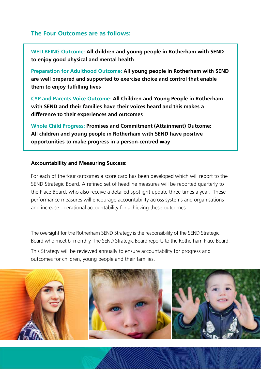#### **The Four Outcomes are as follows:**

**WELLBEING Outcome: All children and young people in Rotherham with SEND to enjoy good physical and mental health**

**Preparation for Adulthood Outcome: All young people in Rotherham with SEND are well prepared and supported to exercise choice and control that enable them to enjoy fulfilling lives** 

**CYP and Parents Voice Outcome: All Children and Young People in Rotherham with SEND and their families have their voices heard and this makes a difference to their experiences and outcomes**

**Whole Child Progress: Promises and Commitment (Attainment) Outcome: All children and young people in Rotherham with SEND have positive opportunities to make progress in a person-centred way**

#### **accountability and Measuring Success:**

For each of the four outcomes a score card has been developed which will report to the SEND Strategic Board. A refined set of headline measures will be reported quarterly to the Place Board, who also receive a detailed spotlight update three times a year. These performance measures will encourage accountability across systems and organisations and increase operational accountability for achieving these outcomes.

The oversight for the Rotherham SEND Strategy is the responsibility of the SEND Strategic Board who meet bi-monthly. The SEND Strategic Board reports to the Rotherham Place Board.

This Strategy will be reviewed annually to ensure accountability for progress and outcomes for children, young people and their families.